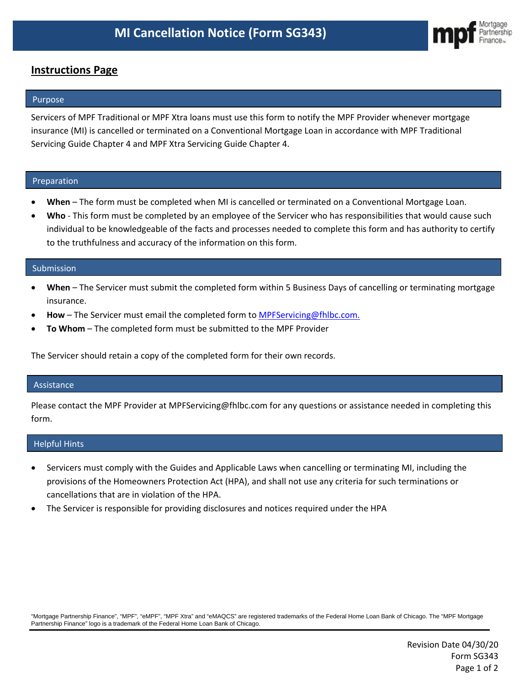

# **Instructions Page**

## Purpose

Servicers of MPF Traditional or MPF Xtra loans must use this form to notify the MPF Provider whenever mortgage insurance (MI) is cancelled or terminated on a Conventional Mortgage Loan in accordance with MPF Traditional Servicing Guide Chapter 4 and MPF Xtra Servicing Guide Chapter 4.

## Preparation

- **When** The form must be completed when MI is cancelled or terminated on a Conventional Mortgage Loan.
- **Who** This form must be completed by an employee of the Servicer who has responsibilities that would cause such individual to be knowledgeable of the facts and processes needed to complete this form and has authority to certify to the truthfulness and accuracy of the information on this form.

#### Submission

- **When** The Servicer must submit the completed form within 5 Business Days of cancelling or terminating mortgage insurance.
- **How** The Servicer must email the completed form to MPFServicing@fhlbc.com.
- **To Whom** The completed form must be submitted to the MPF Provider

The Servicer should retain a copy of the completed form for their own records.

#### Assistance

Please contact the MPF Provider at MPFServicing@fhlbc.com for any questions or assistance needed in completing this form.

#### Helpful Hints

- Servicers must comply with the Guides and Applicable Laws when cancelling or terminating MI, including the provisions of the Homeowners Protection Act (HPA), and shall not use any criteria for such terminations or cancellations that are in violation of the HPA.
- The Servicer is responsible for providing disclosures and notices required under the HPA

"Mortgage Partnership Finance", "MPF", "eMPF", "MPF Xtra" and "eMAQCS" are registered trademarks of the Federal Home Loan Bank of Chicago. The "MPF Mortgage Partnership Finance" logo is a trademark of the Federal Home Loan Bank of Chicago.